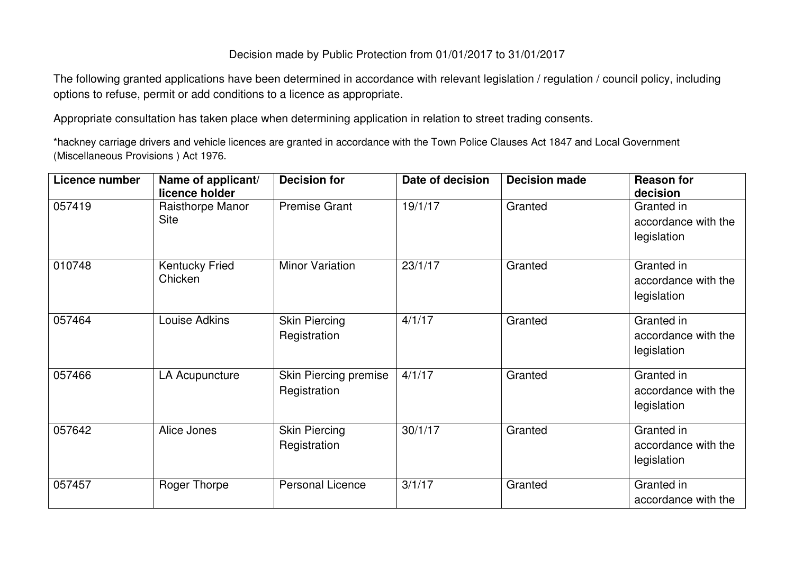## Decision made by Public Protection from 01/01/2017 to 31/01/2017

The following granted applications have been determined in accordance with relevant legislation / regulation / council policy, including options to refuse, permit or add conditions to a licence as appropriate.

Appropriate consultation has taken place when determining application in relation to street trading consents.

\*hackney carriage drivers and vehicle licences are granted in accordance with the Town Police Clauses Act 1847 and Local Government (Miscellaneous Provisions ) Act 1976.

| Licence number | Name of applicant/<br>licence holder | <b>Decision for</b>                          | Date of decision | <b>Decision made</b> | <b>Reason for</b><br>decision                    |
|----------------|--------------------------------------|----------------------------------------------|------------------|----------------------|--------------------------------------------------|
| 057419         | Raisthorpe Manor<br><b>Site</b>      | <b>Premise Grant</b>                         | 19/1/17          | Granted              | Granted in<br>accordance with the<br>legislation |
| 010748         | <b>Kentucky Fried</b><br>Chicken     | <b>Minor Variation</b>                       | 23/1/17          | Granted              | Granted in<br>accordance with the<br>legislation |
| 057464         | Louise Adkins                        | <b>Skin Piercing</b><br>Registration         | 4/1/17           | Granted              | Granted in<br>accordance with the<br>legislation |
| 057466         | LA Acupuncture                       | <b>Skin Piercing premise</b><br>Registration | 4/1/17           | Granted              | Granted in<br>accordance with the<br>legislation |
| 057642         | Alice Jones                          | <b>Skin Piercing</b><br>Registration         | 30/1/17          | Granted              | Granted in<br>accordance with the<br>legislation |
| 057457         | Roger Thorpe                         | <b>Personal Licence</b>                      | 3/1/17           | Granted              | Granted in<br>accordance with the                |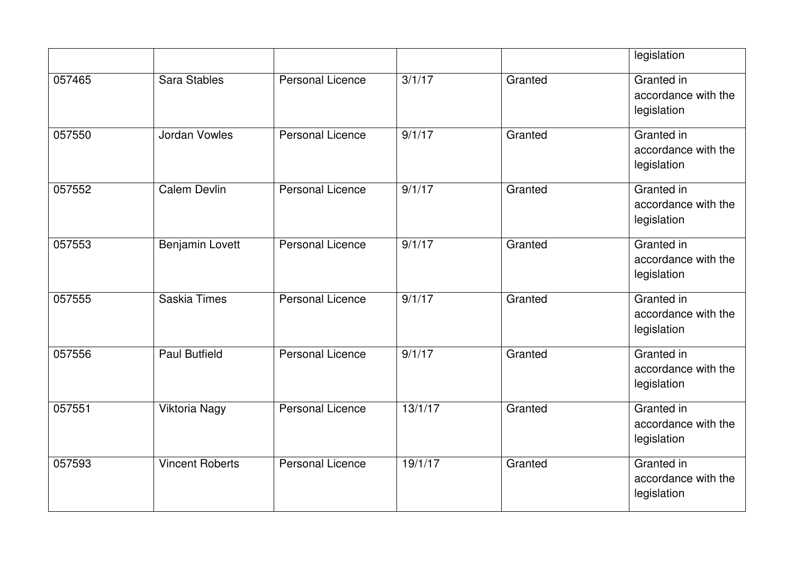|        |                        |                         |         |         | legislation                                      |
|--------|------------------------|-------------------------|---------|---------|--------------------------------------------------|
| 057465 | <b>Sara Stables</b>    | <b>Personal Licence</b> | 3/1/17  | Granted | Granted in<br>accordance with the<br>legislation |
| 057550 | <b>Jordan Vowles</b>   | <b>Personal Licence</b> | 9/1/17  | Granted | Granted in<br>accordance with the<br>legislation |
| 057552 | <b>Calem Devlin</b>    | <b>Personal Licence</b> | 9/1/17  | Granted | Granted in<br>accordance with the<br>legislation |
| 057553 | <b>Benjamin Lovett</b> | <b>Personal Licence</b> | 9/1/17  | Granted | Granted in<br>accordance with the<br>legislation |
| 057555 | Saskia Times           | <b>Personal Licence</b> | 9/1/17  | Granted | Granted in<br>accordance with the<br>legislation |
| 057556 | <b>Paul Butfield</b>   | <b>Personal Licence</b> | 9/1/17  | Granted | Granted in<br>accordance with the<br>legislation |
| 057551 | <b>Viktoria Nagy</b>   | <b>Personal Licence</b> | 13/1/17 | Granted | Granted in<br>accordance with the<br>legislation |
| 057593 | <b>Vincent Roberts</b> | <b>Personal Licence</b> | 19/1/17 | Granted | Granted in<br>accordance with the<br>legislation |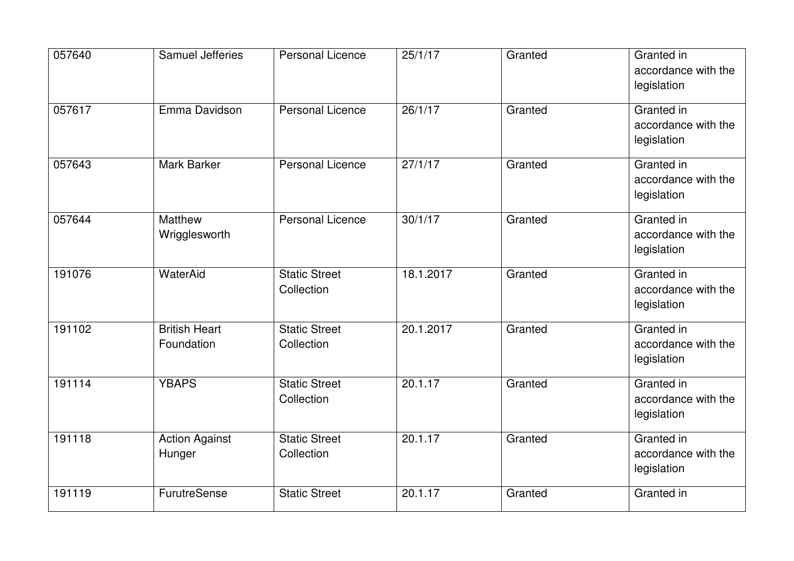| 057640 | <b>Samuel Jefferies</b>            | <b>Personal Licence</b>            | 25/1/17   | Granted | Granted in<br>accordance with the<br>legislation |
|--------|------------------------------------|------------------------------------|-----------|---------|--------------------------------------------------|
| 057617 | Emma Davidson                      | <b>Personal Licence</b>            | 26/1/17   | Granted | Granted in<br>accordance with the<br>legislation |
| 057643 | <b>Mark Barker</b>                 | <b>Personal Licence</b>            | 27/1/17   | Granted | Granted in<br>accordance with the<br>legislation |
| 057644 | <b>Matthew</b><br>Wrigglesworth    | <b>Personal Licence</b>            | 30/1/17   | Granted | Granted in<br>accordance with the<br>legislation |
| 191076 | WaterAid                           | <b>Static Street</b><br>Collection | 18.1.2017 | Granted | Granted in<br>accordance with the<br>legislation |
| 191102 | <b>British Heart</b><br>Foundation | <b>Static Street</b><br>Collection | 20.1.2017 | Granted | Granted in<br>accordance with the<br>legislation |
| 191114 | <b>YBAPS</b>                       | <b>Static Street</b><br>Collection | 20.1.17   | Granted | Granted in<br>accordance with the<br>legislation |
| 191118 | <b>Action Against</b><br>Hunger    | <b>Static Street</b><br>Collection | 20.1.17   | Granted | Granted in<br>accordance with the<br>legislation |
| 191119 | <b>FurutreSense</b>                | <b>Static Street</b>               | 20.1.17   | Granted | Granted in                                       |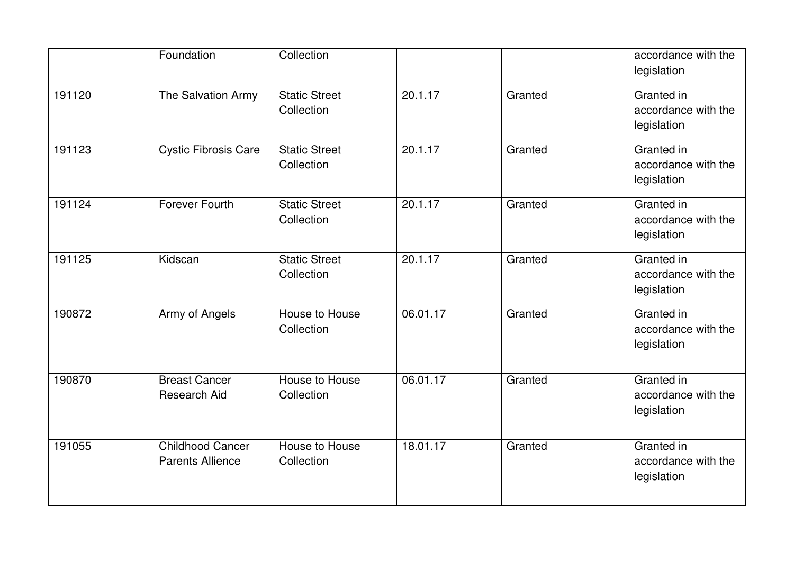|        | Foundation                                         | Collection                         |          |         | accordance with the<br>legislation               |
|--------|----------------------------------------------------|------------------------------------|----------|---------|--------------------------------------------------|
| 191120 | The Salvation Army                                 | <b>Static Street</b><br>Collection | 20.1.17  | Granted | Granted in<br>accordance with the<br>legislation |
| 191123 | <b>Cystic Fibrosis Care</b>                        | <b>Static Street</b><br>Collection | 20.1.17  | Granted | Granted in<br>accordance with the<br>legislation |
| 191124 | <b>Forever Fourth</b>                              | <b>Static Street</b><br>Collection | 20.1.17  | Granted | Granted in<br>accordance with the<br>legislation |
| 191125 | Kidscan                                            | <b>Static Street</b><br>Collection | 20.1.17  | Granted | Granted in<br>accordance with the<br>legislation |
| 190872 | Army of Angels                                     | House to House<br>Collection       | 06.01.17 | Granted | Granted in<br>accordance with the<br>legislation |
| 190870 | <b>Breast Cancer</b><br><b>Research Aid</b>        | House to House<br>Collection       | 06.01.17 | Granted | Granted in<br>accordance with the<br>legislation |
| 191055 | <b>Childhood Cancer</b><br><b>Parents Allience</b> | House to House<br>Collection       | 18.01.17 | Granted | Granted in<br>accordance with the<br>legislation |